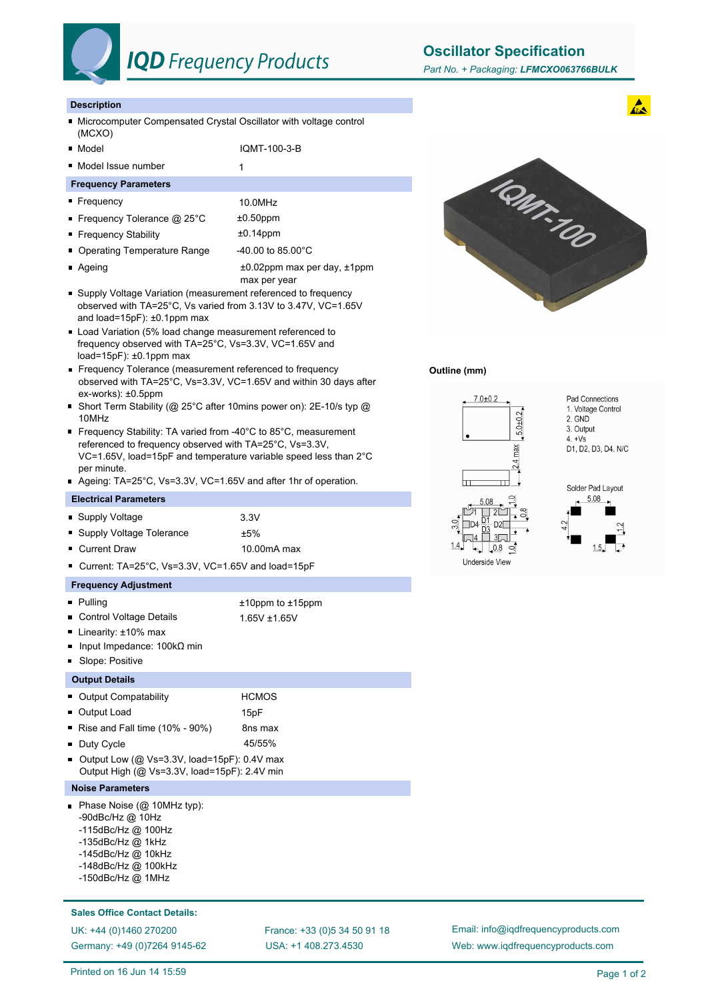

# **IQD** Frequency Products

**Oscillator Specification**

# **Description**

- Microcomputer Compensated Crystal Oscillator with voltage control (MCXO)
- Model IQMT-100-3-B
- Model Issue number 1
- **Frequency Parameters**

# Frequency 10.0MHz

- Frequency Tolerance @ 25°C  $\pm 0.50$ ppm
- Frequency Stability **be a matter of the frequency** Stability
- Operating Temperature Range 40.00 to 85.00°C
- 
- Ageing the according to the according to the 40.02ppm max per day, ±1ppm max per year
- Supply Voltage Variation (measurement referenced to frequency observed with TA=25°C, Vs varied from 3.13V to 3.47V, VC=1.65V and load=15pF): ±0.1ppm max
- Load Variation (5% load change measurement referenced to frequency observed with TA=25°C, Vs=3.3V, VC=1.65V and load=15 $pF$ ):  $\pm 0.1$ ppm max
- Frequency Tolerance (measurement referenced to frequency observed with TA=25°C, Vs=3.3V, VC=1.65V and within 30 days after ex-works): ±0.5ppm
- Short Term Stability (@ 25°C after 10mins power on): 2E-10/s typ @ 10MHz
- Frequency Stability: TA varied from -40°C to 85°C, measurement referenced to frequency observed with TA=25°C, Vs=3.3V, VC=1.65V, load=15pF and temperature variable speed less than 2°C per minute.
- Ageing: TA=25°C, Vs=3.3V, VC=1.65V and after 1hr of operation.

### **Electrical Parameters**

- Supply Voltage 3.3V ■ Supply Voltage Tolerance  $±5\%$
- Current Draw 10.00mA max
- 

■ Current: TA=25°C, Vs=3.3V, VC=1.65V and load=15pF

# **Frequency Adjustment**

- Pulling to the total to the total three to the total to the total to the total to the total to the total to the total to the total to the total to the total to the total to the total to the total to the total to the tot
- Control Voltage Details 1.65V ± 1.65V
- Linearity: ±10% max
- Input Impedance: 100kΩ min
- Slope: Positive

## **Output Details**

| • Output Compatability                         | <b>HCMOS</b>     |
|------------------------------------------------|------------------|
| • Output Load                                  | 15 <sub>pF</sub> |
| Rise and Fall time $(10\% - 90\%)$             | 8ns max          |
| • Duty Cycle                                   | 45/55%           |
| Output Low ( $@$ Vs=3.3V, load=15pF): 0.4V max |                  |
| Output High (@ Vs=3.3V, load=15pF): 2.4V min   |                  |

- **Noise Parameters**
- Phase Noise (@ 10MHz typ):
	- -90dBc/Hz @ 10Hz
	- -115dBc/Hz @ 100Hz
	- -135dBc/Hz @ 1kHz
	- -145dBc/Hz @ 10kHz
	- -148dBc/Hz @ 100kHz
	- -150dBc/Hz @ 1MHz

## **Sales Office Contact Details:**

Germany: +49 (0)7264 9145-62

USA: +1 408.273.4530 UK: +44 (0)1460 270200 France: +33 (0)5 34 50 91 18



## **Outline (mm)**